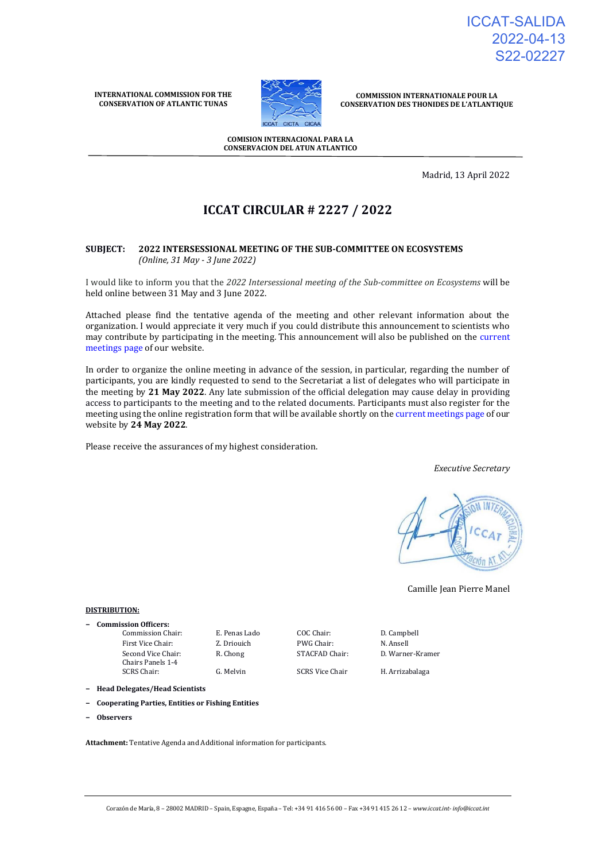ICCAT-SALIDA 2022-04-13 S22-02227

**INTERNATIONAL COMMISSION FOR THE CONSERVATION OF ATLANTIC TUNAS**



**COMMISSION INTERNATIONALE POUR LA CONSERVATION DES THONIDES DE L'ATLANTIQUE**

**COMISION INTERNACIONAL PARA LA CONSERVACION DEL ATUN ATLANTICO**

Madrid, 13 April 2022

# **ICCAT CIRCULAR # 2227 / 2022**

### **SUBJECT: 2022 INTERSESSIONAL MEETING OF THE SUB-COMMITTEE ON ECOSYSTEMS** *(Online, 31 May - 3 June 2022)*

I would like to inform you that the *2022 Intersessional meeting of the Sub-committee on Ecosystems* will be held online between 31 May and 3 June 2022.

Attached please find the tentative agenda of the meeting and other relevant information about the organization. I would appreciate it very much if you could distribute this announcement to scientists who may contribute by participating in the meeting. This announcement will also be published on the [current](https://www.iccat.int/en/Meetings.html)  [meetings page o](https://www.iccat.int/en/Meetings.html)f our website.

In order to organize the online meeting in advance of the session, in particular, regarding the number of participants, you are kindly requested to send to the Secretariat a list of delegates who will participate in the meeting by **21 May 2022**. Any late submission of the official delegation may cause delay in providing access to participants to the meeting and to the related documents. Participants must also register for the meeting using the online registration form that will be available shortly on th[e current meetings page o](https://www.iccat.int/en/Meetings.html)f our website by **24 May 2022**.

Please receive the assurances of my highest consideration.

*Executive Secretary*



Camille Jean Pierre Manel

#### **DISTRIBUTION:**

**− Commission Officers:** Commission Chair: E. Penas Lado COC Chair: D. Campbell First Vice Chair: **Z. Driouich** PWG Chair: **N. Ansell** Second Vice Chair: Chairs Panels 1-4

G. Melvin SCRS Vice Chair H. Arrizabalaga

R. Chong STACFAD Chair: D. Warner-Kramer

**− Head Delegates/Head Scientists**

- **− Cooperating Parties, Entities or Fishing Entities**
- **− Observers**

**Attachment:** Tentative Agenda and Additional information for participants.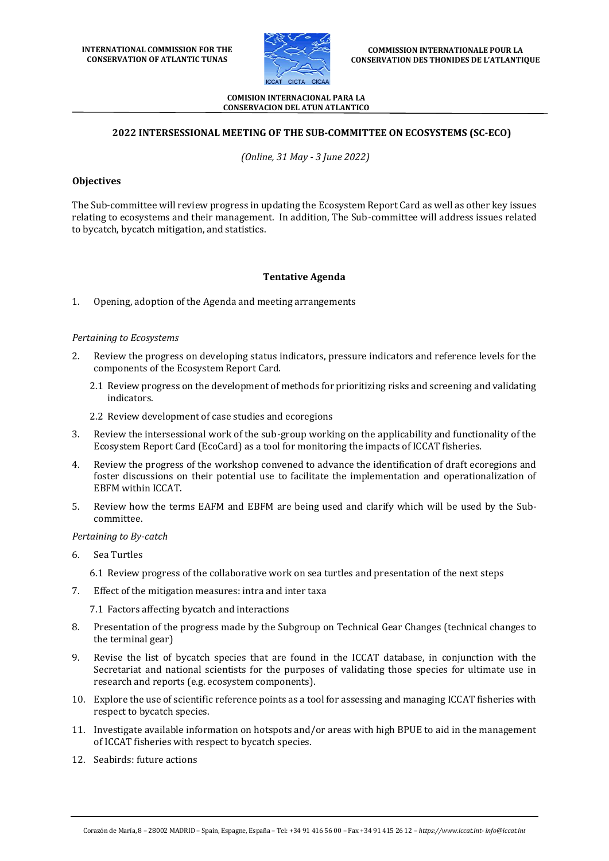

### **2022 INTERSESSIONAL MEETING OF THE SUB-COMMITTEE ON ECOSYSTEMS (SC-ECO)**

*(Online, 31 May - 3 June 2022)*

### **Objectives**

The Sub-committee will review progress in updating the Ecosystem Report Card as well as other key issues relating to ecosystems and their management. In addition, The Sub-committee will address issues related to bycatch, bycatch mitigation, and statistics.

### **Tentative Agenda**

1. Opening, adoption of the Agenda and meeting arrangements

### *Pertaining to Ecosystems*

- 2. Review the progress on developing status indicators, pressure indicators and reference levels for the components of the Ecosystem Report Card.
	- 2.1 Review progress on the development of methods for prioritizing risks and screening and validating indicators.
	- 2.2 Review development of case studies and ecoregions
- 3. Review the intersessional work of the sub-group working on the applicability and functionality of the Ecosystem Report Card (EcoCard) as a tool for monitoring the impacts of ICCAT fisheries.
- 4. Review the progress of the workshop convened to advance the identification of draft ecoregions and foster discussions on their potential use to facilitate the implementation and operationalization of EBFM within ICCAT.
- 5. Review how the terms EAFM and EBFM are being used and clarify which will be used by the Subcommittee.

### *Pertaining to By-catch*

6. Sea Turtles

6.1 Review progress of the collaborative work on sea turtles and presentation of the next steps

7. Effect of the mitigation measures: intra and inter taxa

7.1 Factors affecting bycatch and interactions

- 8. Presentation of the progress made by the Subgroup on Technical Gear Changes (technical changes to the terminal gear)
- 9. Revise the list of bycatch species that are found in the ICCAT database, in conjunction with the Secretariat and national scientists for the purposes of validating those species for ultimate use in research and reports (e.g. ecosystem components).
- 10. Explore the use of scientific reference points as a tool for assessing and managing ICCAT fisheries with respect to bycatch species.
- 11. Investigate available information on hotspots and/or areas with high BPUE to aid in the management of ICCAT fisheries with respect to bycatch species.
- 12. Seabirds: future actions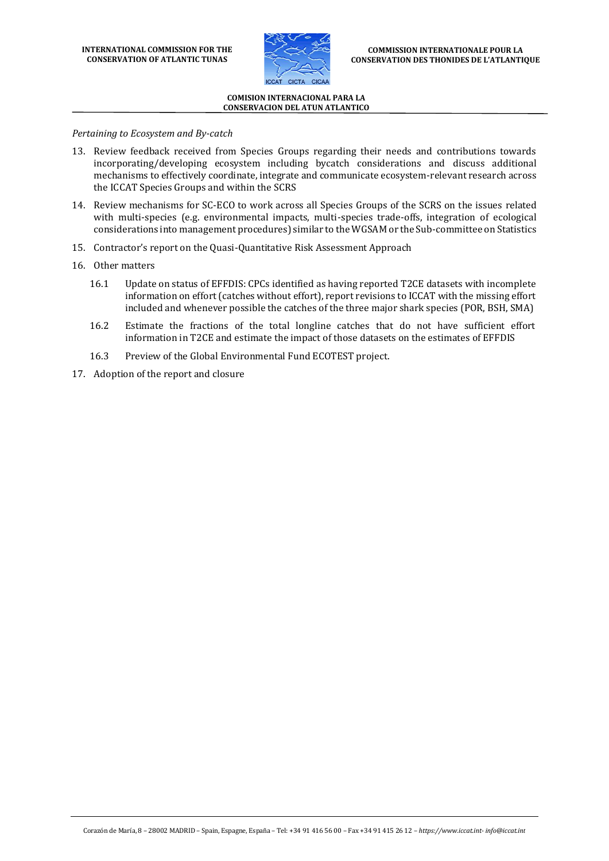

*Pertaining to Ecosystem and By-catch*

- 13. Review feedback received from Species Groups regarding their needs and contributions towards incorporating/developing ecosystem including bycatch considerations and discuss additional mechanisms to effectively coordinate, integrate and communicate ecosystem-relevant research across the ICCAT Species Groups and within the SCRS
- 14. Review mechanisms for SC-ECO to work across all Species Groups of the SCRS on the issues related with multi-species (e.g. environmental impacts, multi-species trade-offs, integration of ecological considerations into management procedures) similar to the WGSAM or the Sub-committee on Statistics
- 15. Contractor's report on the Quasi-Quantitative Risk Assessment Approach
- 16. Other matters
	- 16.1 Update on status of EFFDIS: CPCs identified as having reported T2CE datasets with incomplete information on effort (catches without effort), report revisions to ICCAT with the missing effort included and whenever possible the catches of the three major shark species (POR, BSH, SMA)
	- 16.2 Estimate the fractions of the total longline catches that do not have sufficient effort information in T2CE and estimate the impact of those datasets on the estimates of EFFDIS
	- 16.3 Preview of the Global Environmental Fund ECOTEST project.
- 17. Adoption of the report and closure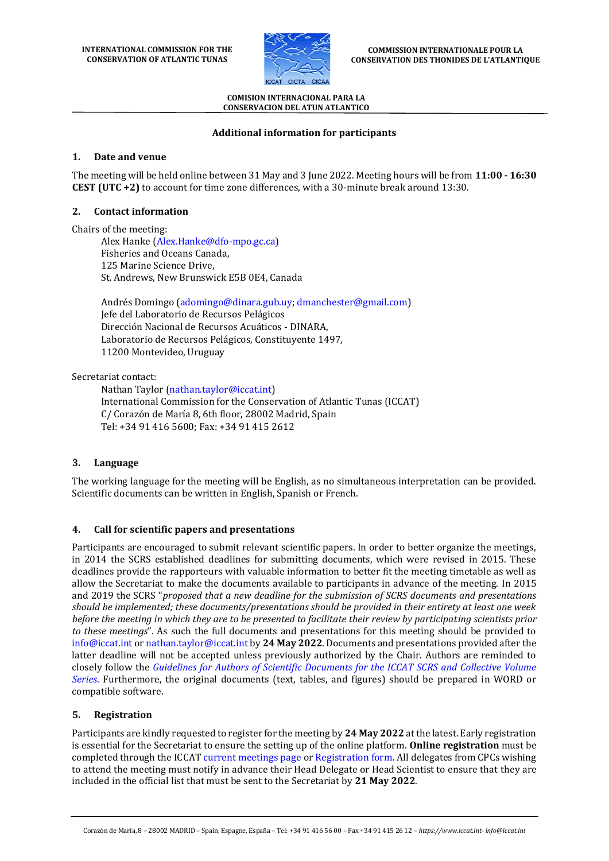

## **Additional information for participants**

### **1. Date and venue**

The meeting will be held online between 31 May and 3 June 2022. Meeting hours will be from **11:00 - 16:30 CEST (UTC +2)** to account for time zone differences, with a 30-minute break around 13:30.

### **2. Contact information**

Chairs of the meeting:

Alex Hanke [\(Alex.Hanke@dfo-mpo.gc.ca\)](mailto:Alex.Hanke@dfo-mpo.gc.ca) Fisheries and Oceans Canada, 125 Marine Science Drive, St. Andrews, New Brunswick E5B 0E4, Canada

Andrés Domingo [\(adomingo@dinara.gub.uy;](mailto:adomingo@dinara.gub.uy) [dmanchester@gmail.com\)](mailto:dmanchester@gmail.com) Jefe del Laboratorio de Recursos Pelágicos Dirección Nacional de Recursos Acuáticos - DINARA, Laboratorio de Recursos Pelágicos, Constituyente 1497, 11200 Montevideo, Uruguay

Secretariat contact:

Nathan Taylor [\(nathan.taylor@iccat.int\)](mailto:nathan.taylor@iccat.int) International Commission for the Conservation of Atlantic Tunas (ICCAT) C/ Corazón de María 8, 6th floor, 28002 Madrid, Spain Tel: +34 91 416 5600; Fax: +34 91 415 2612

# **3. Language**

The working language for the meeting will be English, as no simultaneous interpretation can be provided. Scientific documents can be written in English, Spanish or French.

# **4. Call for scientific papers and presentations**

Participants are encouraged to submit relevant scientific papers. In order to better organize the meetings, in 2014 the SCRS established deadlines for submitting documents, which were revised in 2015. These deadlines provide the rapporteurs with valuable information to better fit the meeting timetable as well as allow the Secretariat to make the documents available to participants in advance of the meeting. In 2015 and 2019 the SCRS "*proposed that a new deadline for the submission of SCRS documents and presentations should be implemented; these documents/presentations should be provided in their entirety at least one week before the meeting in which they are to be presented to facilitate their review by participating scientists prior to these meetings*". As such the full documents and presentations for this meeting should be provided to [info@iccat.int](mailto:info@iccat.int) o[r nathan.taylor@iccat.int](mailto:nathan.taylor@iccat.int) by **24 May 2022**. Documents and presentations provided after the latter deadline will not be accepted unless previously authorized by the Chair. Authors are reminded to closely follow the *[Guidelines for Authors of Scientific Documents for the ICCAT SCRS and Collective Volume](https://www.iccat.int/Documents/SCRS/Other/Guide_ColVol_ENG.pdf)  [Series](https://www.iccat.int/Documents/SCRS/Other/Guide_ColVol_ENG.pdf)*. Furthermore, the original documents (text, tables, and figures) should be prepared in WORD or compatible software.

# **5. Registration**

Participants are kindly requested to register for the meeting by **24 May 2022** at the latest. Early registration is essential for the Secretariat to ensure the setting up of the online platform. **Online registration** must be completed through the ICCAT [current meetings page](https://www.iccat.int/en/Meetings.html) o[r Registration form.](https://www.iccat.int/en/formmeet.html) All delegates from CPCs wishing to attend the meeting must notify in advance their Head Delegate or Head Scientist to ensure that they are included in the official list that must be sent to the Secretariat by **21 May 2022**.